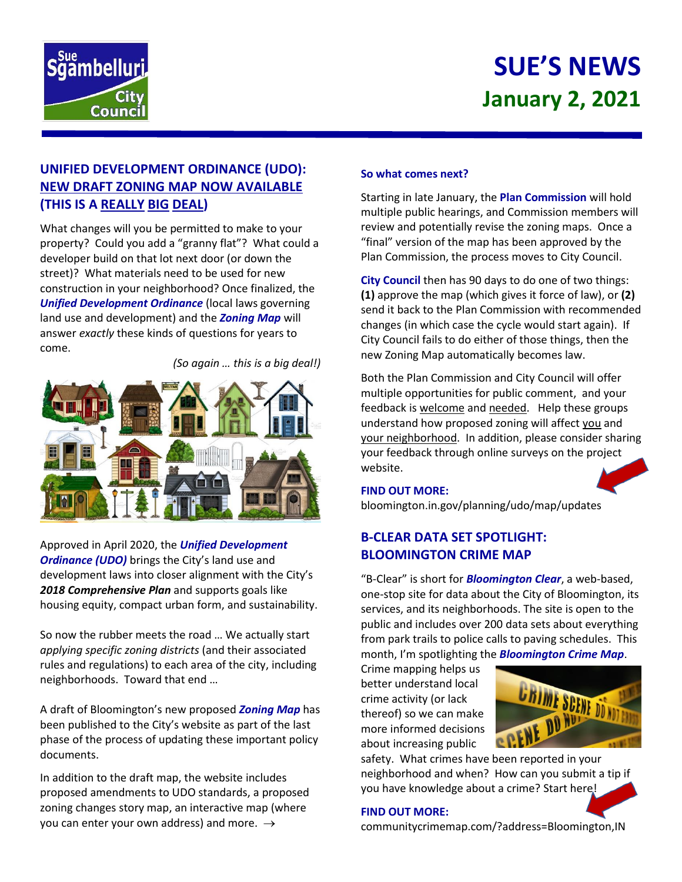

# **SUE'S NEWS January 2, 2021**

# **UNIFIED DEVELOPMENT ORDINANCE (UDO): NEW DRAFT ZONING MAP NOW AVAILABLE (THIS IS A REALLY BIG DEAL)**

What changes will you be permitted to make to your property? Could you add a "granny flat"? What could a developer build on that lot next door (or down the street)? What materials need to be used for new construction in your neighborhood? Once finalized, the *Unified Development Ordinance* (local laws governing land use and development) and the *Zoning Map* will answer *exactly* these kinds of questions for years to come.

*(So again … this is a big deal!)*



Approved in April 2020, the *Unified Development Ordinance (UDO)* brings the City's land use and development laws into closer alignment with the City's *2018 Comprehensive Plan* and supports goals like housing equity, compact urban form, and sustainability.

So now the rubber meets the road … We actually start *applying specific zoning districts* (and their associated rules and regulations) to each area of the city, including neighborhoods. Toward that end …

A draft of Bloomington's new proposed *Zoning Map* has been published to the City's website as part of the last phase of the process of updating these important policy documents.

In addition to the draft map, the website includes proposed amendments to UDO standards, a proposed zoning changes story map, an interactive map (where you can enter your own address) and more.  $\rightarrow$ 

## **So what comes next?**

Starting in late January, the **Plan Commission** will hold multiple public hearings, and Commission members will review and potentially revise the zoning maps. Once a "final" version of the map has been approved by the Plan Commission, the process moves to City Council.

**City Council** then has 90 days to do one of two things: **(1)** approve the map (which gives it force of law), or **(2)**  send it back to the Plan Commission with recommended changes (in which case the cycle would start again). If City Council fails to do either of those things, then the new Zoning Map automatically becomes law.

Both the Plan Commission and City Council will offer multiple opportunities for public comment, and your feedback is welcome and needed. Help these groups understand how proposed zoning will affect you and your neighborhood. In addition, please consider sharing your feedback through online surveys on the project website.

## **FIND OUT MORE:**

bloomington.in.gov/planning/udo/map/updates

## **B-CLEAR DATA SET SPOTLIGHT: BLOOMINGTON CRIME MAP**

"B-Clear" is short for *Bloomington Clear*, a web-based, one-stop site for data about the City of Bloomington, its services, and its neighborhoods. The site is open to the public and includes over 200 data sets about everything from park trails to police calls to paving schedules. This month, I'm spotlighting the *Bloomington Crime Map*.

Crime mapping helps us better understand local crime activity (or lack thereof) so we can make more informed decisions about increasing public



safety. What crimes have been reported in your neighborhood and when? How can you submit a tip if you have knowledge about a crime? Start here!

### **FIND OUT MORE:**

communitycrimemap.com/?address=Bloomington,IN